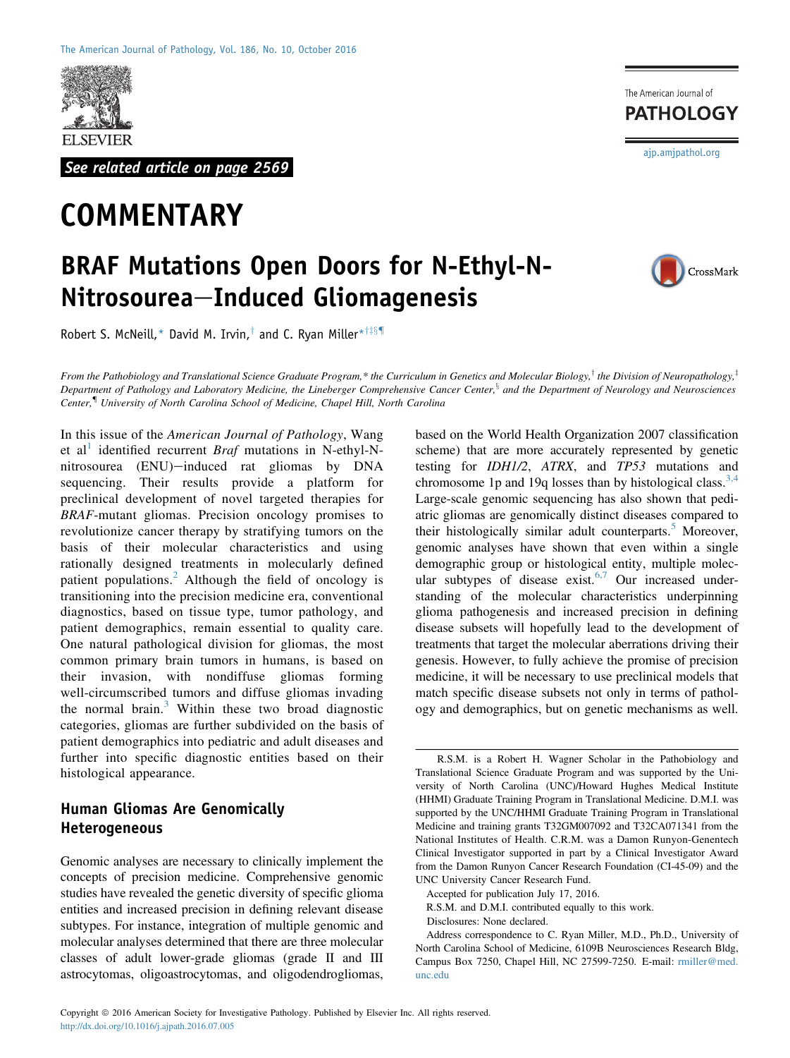

See related article on page 2569

# **COMMENTARY**

The American Journal of **PATHOLOGY** 

[ajp.amjpathol.org](http://ajp.amjpathol.org)

CrossMark

## BRAF Mutations Open Doors for N-Ethyl-N-Nitrosourea-Induced Gliomagenesis

Robert S. McNeill,\* David M. Irvin,<sup>†</sup> and C. Ryan Miller\*<sup>†‡§¶</sup>

From the Pathobiology and Translational Science Graduate Program,\* the Curriculum in Genetics and Molecular Biology,<sup>†</sup> the Division of Neuropathology,<sup>†</sup> Department of Pathology and Laboratory Medicine, the Lineberger Comprehensive Cancer Center,<sup>§</sup> and the Department of Neurology and Neurosciences Center,{ University of North Carolina School of Medicine, Chapel Hill, North Carolina

In this issue of the American Journal of Pathology, Wang et al<sup>[1](#page-3-0)</sup> identified recurrent *Braf* mutations in N-ethyl-Nnitrosourea (ENU)-induced rat gliomas by DNA sequencing. Their results provide a platform for preclinical development of novel targeted therapies for BRAF-mutant gliomas. Precision oncology promises to revolutionize cancer therapy by stratifying tumors on the basis of their molecular characteristics and using rationally designed treatments in molecularly defined patient populations.<sup>[2](#page-3-1)</sup> Although the field of oncology is transitioning into the precision medicine era, conventional diagnostics, based on tissue type, tumor pathology, and patient demographics, remain essential to quality care. One natural pathological division for gliomas, the most common primary brain tumors in humans, is based on their invasion, with nondiffuse gliomas forming well-circumscribed tumors and diffuse gliomas invading the normal brain.<sup>[3](#page-3-2)</sup> Within these two broad diagnostic categories, gliomas are further subdivided on the basis of patient demographics into pediatric and adult diseases and further into specific diagnostic entities based on their histological appearance.

## Human Gliomas Are Genomically Heterogeneous

Genomic analyses are necessary to clinically implement the concepts of precision medicine. Comprehensive genomic studies have revealed the genetic diversity of specific glioma entities and increased precision in defining relevant disease subtypes. For instance, integration of multiple genomic and molecular analyses determined that there are three molecular classes of adult lower-grade gliomas (grade II and III astrocytomas, oligoastrocytomas, and oligodendrogliomas,

based on the World Health Organization 2007 classification scheme) that are more accurately represented by genetic testing for IDH1/2, ATRX, and TP53 mutations and chromosome 1p and 19q losses than by histological class.<sup>[3,4](#page-3-2)</sup> Large-scale genomic sequencing has also shown that pediatric gliomas are genomically distinct diseases compared to their histologically similar adult counterparts.<sup>[5](#page-3-3)</sup> Moreover, genomic analyses have shown that even within a single demographic group or histological entity, multiple molec-ular subtypes of disease exist.<sup>[6,7](#page-3-4)</sup> Our increased understanding of the molecular characteristics underpinning glioma pathogenesis and increased precision in defining disease subsets will hopefully lead to the development of treatments that target the molecular aberrations driving their genesis. However, to fully achieve the promise of precision medicine, it will be necessary to use preclinical models that match specific disease subsets not only in terms of pathology and demographics, but on genetic mechanisms as well.

Accepted for publication July 17, 2016.

Address correspondence to C. Ryan Miller, M.D., Ph.D., University of North Carolina School of Medicine, 6109B Neurosciences Research Bldg, Campus Box 7250, Chapel Hill, NC 27599-7250. E-mail: [rmiller@med.](mailto:rmiller@med.unc.edu) [unc.edu](mailto:rmiller@med.unc.edu)

R.S.M. is a Robert H. Wagner Scholar in the Pathobiology and Translational Science Graduate Program and was supported by the University of North Carolina (UNC)/Howard Hughes Medical Institute (HHMI) Graduate Training Program in Translational Medicine. D.M.I. was supported by the UNC/HHMI Graduate Training Program in Translational Medicine and training grants T32GM007092 and T32CA071341 from the National Institutes of Health. C.R.M. was a Damon Runyon-Genentech Clinical Investigator supported in part by a Clinical Investigator Award from the Damon Runyon Cancer Research Foundation (CI-45-09) and the UNC University Cancer Research Fund.

R.S.M. and D.M.I. contributed equally to this work.

Disclosures: None declared.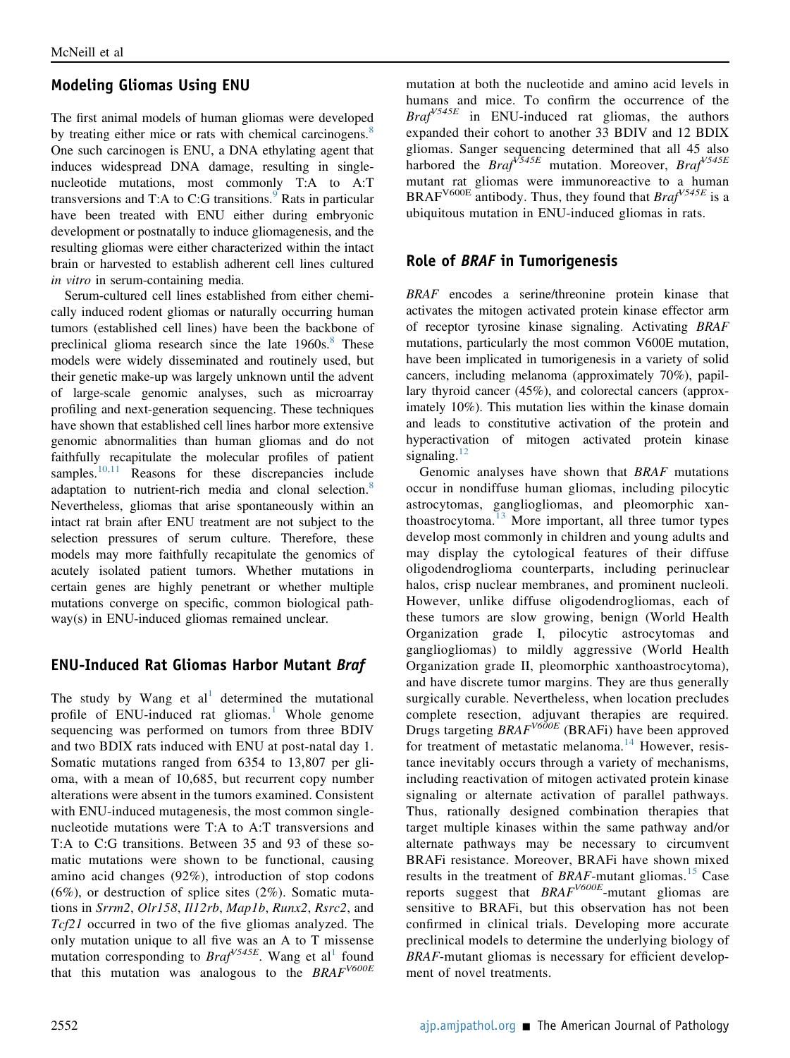## Modeling Gliomas Using ENU

The first animal models of human gliomas were developed by treating either mice or rats with chemical carcinogens.<sup>[8](#page-3-5)</sup> One such carcinogen is ENU, a DNA ethylating agent that induces widespread DNA damage, resulting in singlenucleotide mutations, most commonly T:A to A:T transversions and T:A to C:G transitions. $9$  Rats in particular have been treated with ENU either during embryonic development or postnatally to induce gliomagenesis, and the resulting gliomas were either characterized within the intact brain or harvested to establish adherent cell lines cultured in vitro in serum-containing media.

Serum-cultured cell lines established from either chemically induced rodent gliomas or naturally occurring human tumors (established cell lines) have been the backbone of preclinical glioma research since the late  $1960s$ .<sup>[8](#page-3-5)</sup> These models were widely disseminated and routinely used, but their genetic make-up was largely unknown until the advent of large-scale genomic analyses, such as microarray profiling and next-generation sequencing. These techniques have shown that established cell lines harbor more extensive genomic abnormalities than human gliomas and do not faithfully recapitulate the molecular profiles of patient samples. $10,11$  Reasons for these discrepancies include adaptation to nutrient-rich media and clonal selection.<sup>[8](#page-3-5)</sup> Nevertheless, gliomas that arise spontaneously within an intact rat brain after ENU treatment are not subject to the selection pressures of serum culture. Therefore, these models may more faithfully recapitulate the genomics of acutely isolated patient tumors. Whether mutations in certain genes are highly penetrant or whether multiple mutations converge on specific, common biological pathway(s) in ENU-induced gliomas remained unclear.

## ENU-Induced Rat Gliomas Harbor Mutant Braf

The study by Wang et  $al<sup>1</sup>$  $al<sup>1</sup>$  $al<sup>1</sup>$  determined the mutational profile of ENU-induced rat gliomas.<sup>[1](#page-3-0)</sup> Whole genome sequencing was performed on tumors from three BDIV and two BDIX rats induced with ENU at post-natal day 1. Somatic mutations ranged from 6354 to 13,807 per glioma, with a mean of 10,685, but recurrent copy number alterations were absent in the tumors examined. Consistent with ENU-induced mutagenesis, the most common singlenucleotide mutations were T:A to A:T transversions and T:A to C:G transitions. Between 35 and 93 of these somatic mutations were shown to be functional, causing amino acid changes (92%), introduction of stop codons (6%), or destruction of splice sites (2%). Somatic mutations in Srrm2, Olr158, Il12rb, Map1b, Runx2, Rsrc2, and Tcf21 occurred in two of the five gliomas analyzed. The only mutation unique to all five was an A to T missense mutation corresponding to  $Braf<sup>V545E</sup>$ . Wang et al<sup>[1](#page-3-0)</sup> found that this mutation was analogous to the  $BRAF<sup>V600E</sup>$ 

mutation at both the nucleotide and amino acid levels in humans and mice. To confirm the occurrence of the  $Braf^{V545E}$  in ENU-induced rat gliomas, the authors expanded their cohort to another 33 BDIV and 12 BDIX gliomas. Sanger sequencing determined that all 45 also harbored the  $Braf^{\sqrt{545E}}$  mutation. Moreover,  $Braf^{\sqrt{545E}}$ mutant rat gliomas were immunoreactive to a human BRAF<sup>V600E</sup> antibody. Thus, they found that  $Braf<sup>V545E</sup>$  is a ubiquitous mutation in ENU-induced gliomas in rats.

## Role of BRAF in Tumorigenesis

BRAF encodes a serine/threonine protein kinase that activates the mitogen activated protein kinase effector arm of receptor tyrosine kinase signaling. Activating BRAF mutations, particularly the most common V600E mutation, have been implicated in tumorigenesis in a variety of solid cancers, including melanoma (approximately 70%), papillary thyroid cancer (45%), and colorectal cancers (approximately 10%). This mutation lies within the kinase domain and leads to constitutive activation of the protein and hyperactivation of mitogen activated protein kinase signaling. $12$ 

Genomic analyses have shown that BRAF mutations occur in nondiffuse human gliomas, including pilocytic astrocytomas, gangliogliomas, and pleomorphic xanthoastrocytoma. $^{13}$  $^{13}$  $^{13}$  More important, all three tumor types develop most commonly in children and young adults and may display the cytological features of their diffuse oligodendroglioma counterparts, including perinuclear halos, crisp nuclear membranes, and prominent nucleoli. However, unlike diffuse oligodendrogliomas, each of these tumors are slow growing, benign (World Health Organization grade I, pilocytic astrocytomas and gangliogliomas) to mildly aggressive (World Health Organization grade II, pleomorphic xanthoastrocytoma), and have discrete tumor margins. They are thus generally surgically curable. Nevertheless, when location precludes complete resection, adjuvant therapies are required. Drugs targeting  $BRAF<sup>V600E</sup>$  (BRAFi) have been approved for treatment of metastatic melanoma.<sup>[14](#page-3-10)</sup> However, resistance inevitably occurs through a variety of mechanisms, including reactivation of mitogen activated protein kinase signaling or alternate activation of parallel pathways. Thus, rationally designed combination therapies that target multiple kinases within the same pathway and/or alternate pathways may be necessary to circumvent BRAFi resistance. Moreover, BRAFi have shown mixed results in the treatment of  $BRAF$ -mutant gliomas.<sup>[15](#page-3-11)</sup> Case reports suggest that  $BRAF<sup>V600E</sup>$ -mutant gliomas are sensitive to BRAFi, but this observation has not been confirmed in clinical trials. Developing more accurate preclinical models to determine the underlying biology of BRAF-mutant gliomas is necessary for efficient development of novel treatments.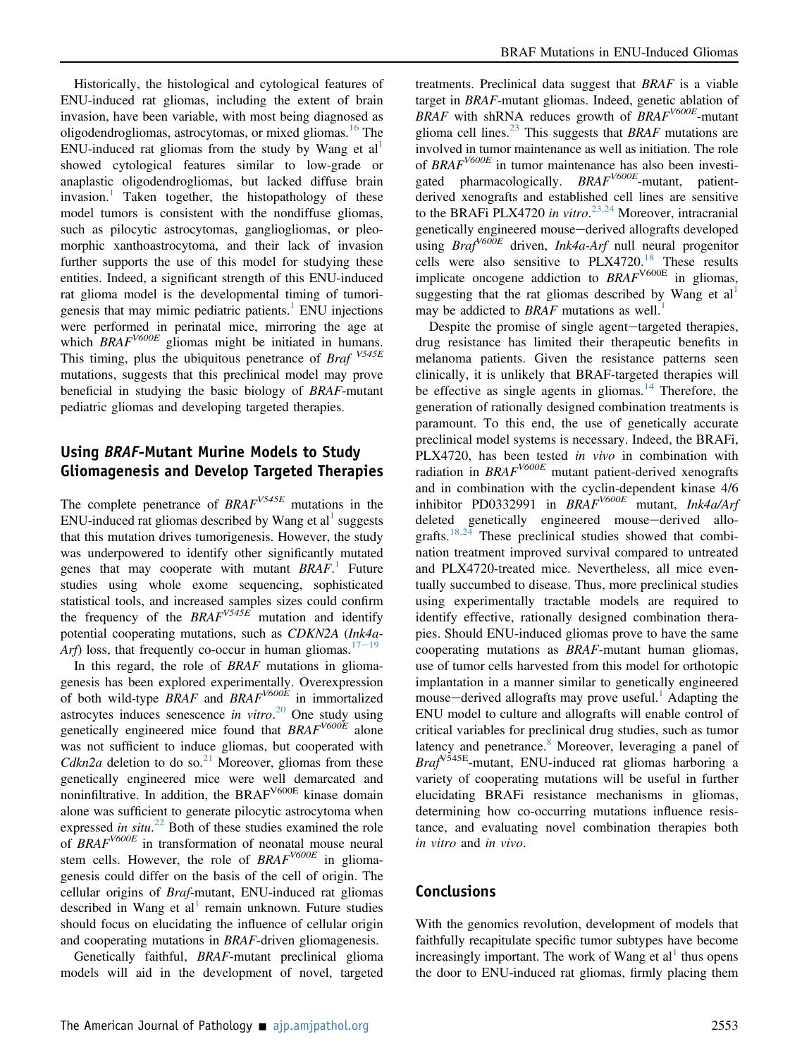Historically, the histological and cytological features of ENU-induced rat gliomas, including the extent of brain invasion, have been variable, with most being diagnosed as oligodendrogliomas, astrocytomas, or mixed gliomas.<sup>[16](#page-3-12)</sup> The ENU-induced rat gliomas from the study by Wang et  $al<sup>1</sup>$  $al<sup>1</sup>$  $al<sup>1</sup>$ showed cytological features similar to low-grade or anaplastic oligodendrogliomas, but lacked diffuse brain invasion.<sup>[1](#page-3-0)</sup> Taken together, the histopathology of these model tumors is consistent with the nondiffuse gliomas, such as pilocytic astrocytomas, gangliogliomas, or pleomorphic xanthoastrocytoma, and their lack of invasion further supports the use of this model for studying these entities. Indeed, a significant strength of this ENU-induced rat glioma model is the developmental timing of tumori-genesis that may mimic pediatric patients.<sup>[1](#page-3-0)</sup> ENU injections were performed in perinatal mice, mirroring the age at which  $BRAF^{V600E}$  gliomas might be initiated in humans. This timing, plus the ubiquitous penetrance of *Braf*  $V^{545E}$ mutations, suggests that this preclinical model may prove beneficial in studying the basic biology of BRAF-mutant pediatric gliomas and developing targeted therapies.

## Using BRAF-Mutant Murine Models to Study Gliomagenesis and Develop Targeted Therapies

The complete penetrance of  $BRAF<sup>V545E</sup>$  mutations in the ENU-induced rat gliomas described by Wang et al<sup>[1](#page-3-0)</sup> suggests that this mutation drives tumorigenesis. However, the study was underpowered to identify other significantly mutated genes that may cooperate with mutant  $BRAF$ .<sup>[1](#page-3-0)</sup> Future studies using whole exome sequencing, sophisticated statistical tools, and increased samples sizes could confirm the frequency of the  $BRAF<sup>V545E</sup>$  mutation and identify potential cooperating mutations, such as CDKN2A (Ink4a-Arf) loss, that frequently co-occur in human gliomas.<sup>[17](#page-3-13)-[19](#page-3-13)</sup>

In this regard, the role of BRAF mutations in gliomagenesis has been explored experimentally. Overexpression of both wild-type  $BRAF$  and  $BRAF^{V600E}$  in immortalized astrocytes induces senescence in vitro.<sup>[20](#page-3-14)</sup> One study using genetically engineered mice found that  $BRAF<sup>V600E</sup>$  alone was not sufficient to induce gliomas, but cooperated with Cdkn2a deletion to do so.<sup>[21](#page-3-15)</sup> Moreover, gliomas from these genetically engineered mice were well demarcated and noninfiltrative. In addition, the BRAF<sup>V600E</sup> kinase domain alone was sufficient to generate pilocytic astrocytoma when expressed in  $situ$ <sup>[22](#page-3-16)</sup> Both of these studies examined the role of BRAF<sup>V600E</sup> in transformation of neonatal mouse neural stem cells. However, the role of  $BRAF<sup>V600E</sup>$  in gliomagenesis could differ on the basis of the cell of origin. The cellular origins of Braf-mutant, ENU-induced rat gliomas described in Wang et al<sup>[1](#page-3-0)</sup> remain unknown. Future studies should focus on elucidating the influence of cellular origin and cooperating mutations in BRAF-driven gliomagenesis.

Genetically faithful, BRAF-mutant preclinical glioma models will aid in the development of novel, targeted

treatments. Preclinical data suggest that BRAF is a viable target in BRAF-mutant gliomas. Indeed, genetic ablation of BRAF with shRNA reduces growth of  $BRAF^{V600E}$ -mutant glioma cell lines.<sup>[23](#page-3-17)</sup> This suggests that BRAF mutations are involved in tumor maintenance as well as initiation. The role of  $BRAF^{V600E}$  in tumor maintenance has also been investigated pharmacologically.  $BRAF^{V600E}$ -mutant, patientderived xenografts and established cell lines are sensitive to the BRAFi PLX4720 in vitro.<sup>[23,24](#page-3-17)</sup> Moreover, intracranial genetically engineered mouse-derived allografts developed using  $Braf<sup>V600E</sup>$  driven, Ink4a-Arf null neural progenitor cells were also sensitive to  $PLX4720$ .<sup>[18](#page-3-18)</sup> These results implicate oncogene addiction to  $BRAF<sup>V600E</sup>$  in gliomas, suggesting that the rat gliomas described by Wang et  $al<sup>1</sup>$ may be addicted to *BRAF* mutations as well.<sup>1</sup>

Despite the promise of single agent-targeted therapies, drug resistance has limited their therapeutic benefits in melanoma patients. Given the resistance patterns seen clinically, it is unlikely that BRAF-targeted therapies will be effective as single agents in gliomas.<sup>[14](#page-3-10)</sup> Therefore, the generation of rationally designed combination treatments is paramount. To this end, the use of genetically accurate preclinical model systems is necessary. Indeed, the BRAFi, PLX4720, has been tested in vivo in combination with radiation in  $BRAF^{V600E}$  mutant patient-derived xenografts and in combination with the cyclin-dependent kinase 4/6 inhibitor PD0332991 in  $BRAF^{V600E}$  mutant, Ink4a/Arf deleted genetically engineered mouse-derived allo-grafts.<sup>[18,24](#page-3-18)</sup> These preclinical studies showed that combination treatment improved survival compared to untreated and PLX4720-treated mice. Nevertheless, all mice eventually succumbed to disease. Thus, more preclinical studies using experimentally tractable models are required to identify effective, rationally designed combination therapies. Should ENU-induced gliomas prove to have the same cooperating mutations as BRAF-mutant human gliomas, use of tumor cells harvested from this model for orthotopic implantation in a manner similar to genetically engineered mouse—derived allografts may prove useful.<sup>[1](#page-3-0)</sup> Adapting the ENU model to culture and allografts will enable control of critical variables for preclinical drug studies, such as tumor latency and penetrance.<sup>[8](#page-3-5)</sup> Moreover, leveraging a panel of  $Braf<sup>V545E</sup>$ -mutant, ENU-induced rat gliomas harboring a variety of cooperating mutations will be useful in further elucidating BRAFi resistance mechanisms in gliomas, determining how co-occurring mutations influence resistance, and evaluating novel combination therapies both in vitro and in vivo.

#### Conclusions

With the genomics revolution, development of models that faithfully recapitulate specific tumor subtypes have become increasingly important. The work of Wang et  $al<sup>1</sup>$  $al<sup>1</sup>$  $al<sup>1</sup>$  thus opens the door to ENU-induced rat gliomas, firmly placing them